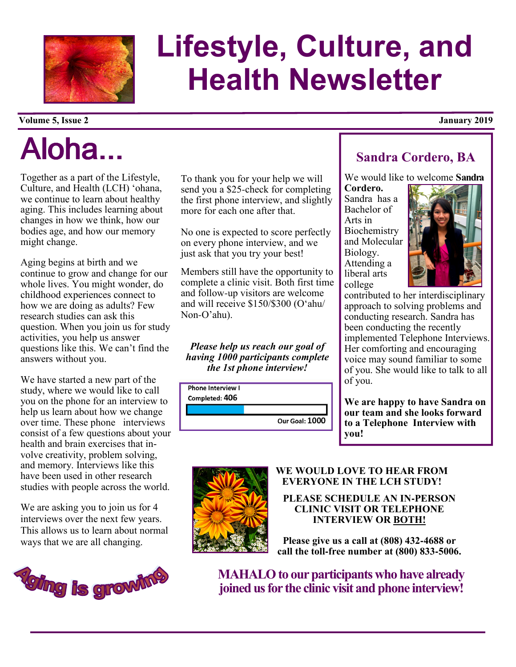

# Lifestyle, Culture, and Health Newsletter

#### Volume 5, Issue 2 January 2019

# Aloha...

Together as a part of the Lifestyle, Culture, and Health (LCH) 'ohana, we continue to learn about healthy aging. This includes learning about changes in how we think, how our bodies age, and how our memory might change.

Aging begins at birth and we continue to grow and change for our whole lives. You might wonder, do childhood experiences connect to how we are doing as adults? Few research studies can ask this question. When you join us for study activities, you help us answer questions like this. We can't find the answers without you.

We have started a new part of the study, where we would like to call you on the phone for an interview to help us learn about how we change over time. These phone interviews consist of a few questions about your health and brain exercises that involve creativity, problem solving, and memory. Interviews like this have been used in other research studies with people across the world.

We are asking you to join us for 4 interviews over the next few years. This allows us to learn about normal ways that we are all changing.



To thank you for your help we will send you a \$25-check for completing the first phone interview, and slightly more for each one after that.

No one is expected to score perfectly on every phone interview, and we just ask that you try your best!

Members still have the opportunity to complete a clinic visit. Both first time and follow-up visitors are welcome and will receive \$150/\$300 (O'ahu/ Non-O'ahu).

Please help us reach our goal of having 1000 participants complete the 1st phone interview!



# Sandra Cordero, BA

We would like to welcome **Sandra** 

Cordero. Sandra has a Bachelor of Arts in **Biochemistry** and Molecular Biology. Attending a liberal arts college



contributed to her interdisciplinary approach to solving problems and conducting research. Sandra has been conducting the recently implemented Telephone Interviews. Her comforting and encouraging voice may sound familiar to some of you. She would like to talk to all of you.

We are happy to have Sandra on our team and she looks forward to a Telephone Interview with you!



#### WE WOULD LOVE TO HEAR FROM EVERYONE IN THE LCH STUDY!

PLEASE SCHEDULE AN IN**-**PERSON CLINIC VISIT OR TELEPHONE INTERVIEW OR BOTH!

Please give us a call at (808) 432**-**4688 or call the toll**-**free number at (800) 833**-**5006.

MAHALO to our participants who have already joined us for the clinic visit and phone interview!